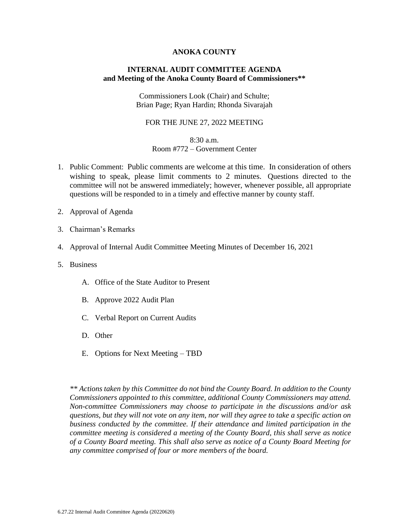#### **ANOKA COUNTY**

### **INTERNAL AUDIT COMMITTEE AGENDA and Meeting of the Anoka County Board of Commissioners\*\***

Commissioners Look (Chair) and Schulte; Brian Page; Ryan Hardin; Rhonda Sivarajah

#### FOR THE JUNE 27, 2022 MEETING

### 8:30 a.m.

#### Room #772 – Government Center

- 1. Public Comment: Public comments are welcome at this time. In consideration of others wishing to speak, please limit comments to 2 minutes. Questions directed to the committee will not be answered immediately; however, whenever possible, all appropriate questions will be responded to in a timely and effective manner by county staff.
- 2. Approval of Agenda
- 3. Chairman's Remarks
- 4. Approval of Internal Audit Committee Meeting Minutes of December 16, 2021
- 5. Business
	- A. Office of the State Auditor to Present
	- B. Approve 2022 Audit Plan
	- C. Verbal Report on Current Audits
	- D. Other
	- E. Options for Next Meeting TBD

*\*\* Actions taken by this Committee do not bind the County Board. In addition to the County Commissioners appointed to this committee, additional County Commissioners may attend. Non-committee Commissioners may choose to participate in the discussions and/or ask questions, but they will not vote on any item, nor will they agree to take a specific action on business conducted by the committee. If their attendance and limited participation in the committee meeting is considered a meeting of the County Board, this shall serve as notice of a County Board meeting. This shall also serve as notice of a County Board Meeting for any committee comprised of four or more members of the board.*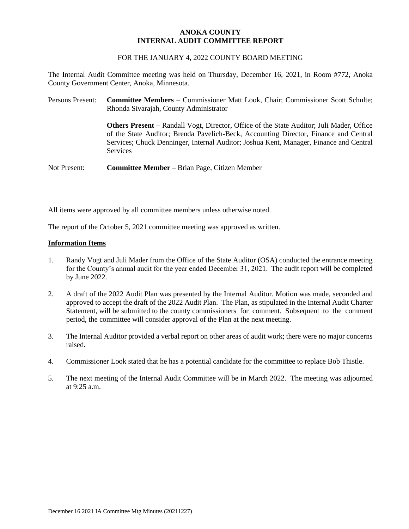#### **ANOKA COUNTY INTERNAL AUDIT COMMITTEE REPORT**

#### FOR THE JANUARY 4, 2022 COUNTY BOARD MEETING

The Internal Audit Committee meeting was held on Thursday, December 16, 2021, in Room #772, Anoka County Government Center, Anoka, Minnesota.

| Persons Present: | <b>Committee Members – Commissioner Matt Look, Chair; Commissioner Scott Schulte;</b><br>Rhonda Sivarajah, County Administrator                                                                                                                                                                      |
|------------------|------------------------------------------------------------------------------------------------------------------------------------------------------------------------------------------------------------------------------------------------------------------------------------------------------|
|                  | <b>Others Present</b> – Randall Vogt, Director, Office of the State Auditor; Juli Mader, Office<br>of the State Auditor; Brenda Pavelich-Beck, Accounting Director, Finance and Central<br>Services; Chuck Denninger, Internal Auditor; Joshua Kent, Manager, Finance and Central<br><b>Services</b> |
| Not Present:     | <b>Committee Member</b> – Brian Page, Citizen Member                                                                                                                                                                                                                                                 |

All items were approved by all committee members unless otherwise noted.

The report of the October 5, 2021 committee meeting was approved as written.

#### **Information Items**

- 1. Randy Vogt and Juli Mader from the Office of the State Auditor (OSA) conducted the entrance meeting for the County's annual audit for the year ended December 31, 2021. The audit report will be completed by June 2022.
- 2. A draft of the 2022 Audit Plan was presented by the Internal Auditor. Motion was made, seconded and approved to accept the draft of the 2022 Audit Plan. The Plan, as stipulated in the Internal Audit Charter Statement, will be submitted to the county commissioners for comment. Subsequent to the comment period, the committee will consider approval of the Plan at the next meeting.
- 3. The Internal Auditor provided a verbal report on other areas of audit work; there were no major concerns raised.
- 4. Commissioner Look stated that he has a potential candidate for the committee to replace Bob Thistle.
- 5. The next meeting of the Internal Audit Committee will be in March 2022. The meeting was adjourned at 9:25 a.m.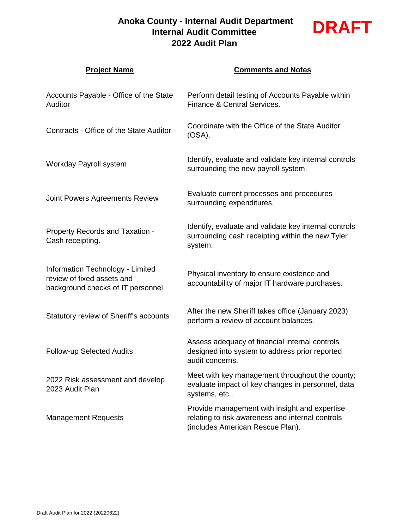# **Anoka County - Internal Audit Department Internal Audit Committee 2022 Audit Plan**



| <b>Project Name</b>                                                                                  | <b>Comments and Notes</b>                                                                                                             |
|------------------------------------------------------------------------------------------------------|---------------------------------------------------------------------------------------------------------------------------------------|
| Accounts Payable - Office of the State<br>Auditor                                                    | Perform detail testing of Accounts Payable within<br>Finance & Central Services.                                                      |
| Contracts - Office of the State Auditor                                                              | Coordinate with the Office of the State Auditor<br>$(OSA)$ .                                                                          |
| Workday Payroll system                                                                               | Identify, evaluate and validate key internal controls<br>surrounding the new payroll system.                                          |
| Joint Powers Agreements Review                                                                       | Evaluate current processes and procedures<br>surrounding expenditures.                                                                |
| <b>Property Records and Taxation -</b><br>Cash receipting.                                           | Identify, evaluate and validate key internal controls<br>surrounding cash receipting within the new Tyler<br>system.                  |
| Information Technology - Limited<br>review of fixed assets and<br>background checks of IT personnel. | Physical inventory to ensure existence and<br>accountability of major IT hardware purchases.                                          |
| Statutory review of Sheriff's accounts                                                               | After the new Sheriff takes office (January 2023)<br>perform a review of account balances.                                            |
| <b>Follow-up Selected Audits</b>                                                                     | Assess adequacy of financial internal controls<br>designed into system to address prior reported<br>audit concerns.                   |
| 2022 Risk assessment and develop<br>2023 Audit Plan                                                  | Meet with key management throughout the county;<br>evaluate impact of key changes in personnel, data<br>systems, etc                  |
| <b>Management Requests</b>                                                                           | Provide management with insight and expertise<br>relating to risk awareness and internal controls<br>(includes American Rescue Plan). |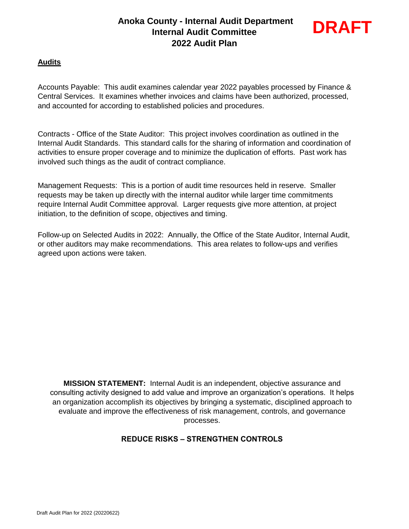# **Anoka County - Internal Audit Department Internal Audit Committee 2022 Audit Plan**



## **Audits**

Accounts Payable: This audit examines calendar year 2022 payables processed by Finance & Central Services. It examines whether invoices and claims have been authorized, processed, and accounted for according to established policies and procedures.

Contracts - Office of the State Auditor: This project involves coordination as outlined in the Internal Audit Standards. This standard calls for the sharing of information and coordination of activities to ensure proper coverage and to minimize the duplication of efforts. Past work has involved such things as the audit of contract compliance.

Management Requests: This is a portion of audit time resources held in reserve. Smaller requests may be taken up directly with the internal auditor while larger time commitments require Internal Audit Committee approval. Larger requests give more attention, at project initiation, to the definition of scope, objectives and timing.

Follow-up on Selected Audits in 2022: Annually, the Office of the State Auditor, Internal Audit, or other auditors may make recommendations. This area relates to follow-ups and verifies agreed upon actions were taken.

**MISSION STATEMENT:** Internal Audit is an independent, objective assurance and consulting activity designed to add value and improve an organization's operations. It helps an organization accomplish its objectives by bringing a systematic, disciplined approach to evaluate and improve the effectiveness of risk management, controls, and governance processes.

## **REDUCE RISKS – STRENGTHEN CONTROLS**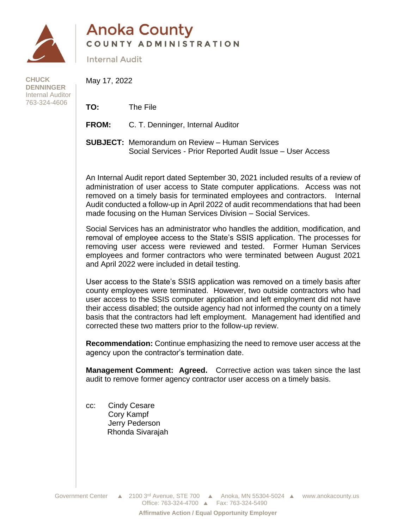

# **Anoka County** COUNTY ADMINISTRATION

**Internal Audit** 

**CHUCK DENNINGER** Internal Auditor 763-324-4606

May 17, 2022

**TO:** The File

**FROM:** C. T. Denninger, Internal Auditor

**SUBJECT:** Memorandum on Review – Human Services Social Services - Prior Reported Audit Issue – User Access

An Internal Audit report dated September 30, 2021 included results of a review of administration of user access to State computer applications. Access was not removed on a timely basis for terminated employees and contractors. Internal Audit conducted a follow-up in April 2022 of audit recommendations that had been made focusing on the Human Services Division – Social Services.

Social Services has an administrator who handles the addition, modification, and removal of employee access to the State's SSIS application. The processes for removing user access were reviewed and tested. Former Human Services employees and former contractors who were terminated between August 2021 and April 2022 were included in detail testing.

User access to the State's SSIS application was removed on a timely basis after county employees were terminated. However, two outside contractors who had user access to the SSIS computer application and left employment did not have their access disabled; the outside agency had not informed the county on a timely basis that the contractors had left employment. Management had identified and corrected these two matters prior to the follow-up review.

**Recommendation:** Continue emphasizing the need to remove user access at the agency upon the contractor's termination date.

**Management Comment: Agreed.** Corrective action was taken since the last audit to remove former agency contractor user access on a timely basis.

cc: Cindy Cesare Cory Kampf Jerry Pederson Rhonda Sivarajah